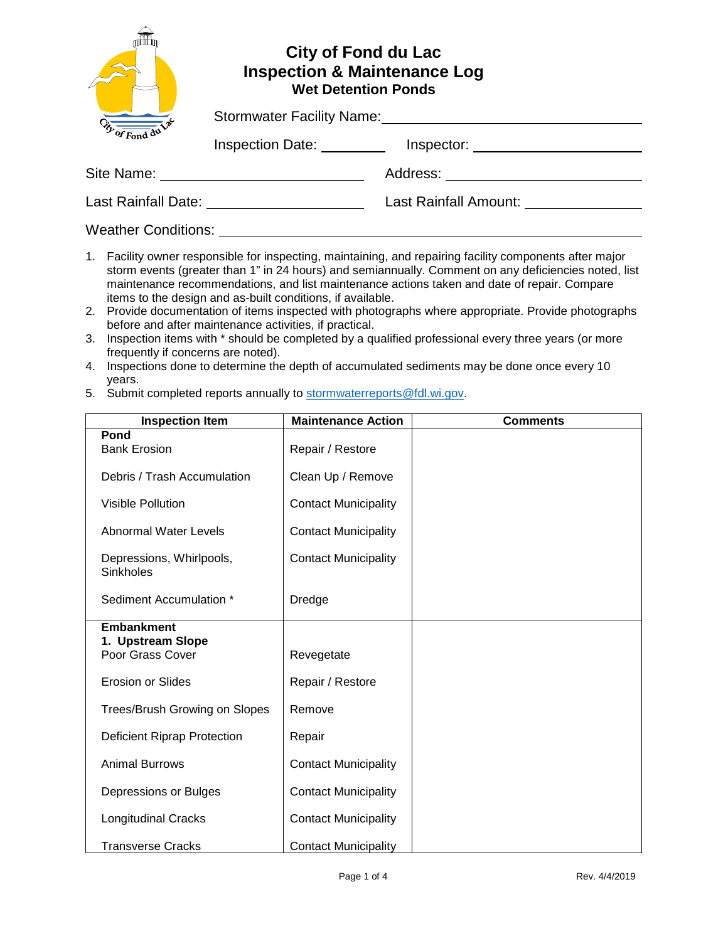| Bor Fond du La |
|----------------|

## **City of Fond du Lac Inspection & Maintenance Log Wet Detention Ponds**

| Bor Fond du Lac            | <b>Stormwater Facility Name:</b>                                                |                       |
|----------------------------|---------------------------------------------------------------------------------|-----------------------|
|                            | Inspection Date: <u>__________</u>                                              |                       |
| Site Name:                 | the contract of the contract of the contract of the contract of the contract of | Address:              |
| Last Rainfall Date:        |                                                                                 | Last Rainfall Amount: |
| <b>Weather Conditions:</b> |                                                                                 |                       |

- 1. Facility owner responsible for inspecting, maintaining, and repairing facility components after major storm events (greater than 1" in 24 hours) and semiannually. Comment on any deficiencies noted, list maintenance recommendations, and list maintenance actions taken and date of repair. Compare items to the design and as-built conditions, if available.
- 2. Provide documentation of items inspected with photographs where appropriate. Provide photographs before and after maintenance activities, if practical.
- 3. Inspection items with \* should be completed by a qualified professional every three years (or more frequently if concerns are noted).
- 4. Inspections done to determine the depth of accumulated sediments may be done once every 10 years.
- 5. Submit completed reports annually to [stormwaterreports@fdl.wi.gov.](mailto:stormwaterreports@fdl.wi.gov)

| <b>Inspection Item</b>                                     | <b>Maintenance Action</b>   | <b>Comments</b> |
|------------------------------------------------------------|-----------------------------|-----------------|
| Pond<br><b>Bank Erosion</b>                                | Repair / Restore            |                 |
| Debris / Trash Accumulation                                | Clean Up / Remove           |                 |
| <b>Visible Pollution</b>                                   | <b>Contact Municipality</b> |                 |
| <b>Abnormal Water Levels</b>                               | <b>Contact Municipality</b> |                 |
| Depressions, Whirlpools,<br><b>Sinkholes</b>               | <b>Contact Municipality</b> |                 |
| Sediment Accumulation *                                    | Dredge                      |                 |
| <b>Embankment</b><br>1. Upstream Slope<br>Poor Grass Cover | Revegetate                  |                 |
| <b>Erosion or Slides</b>                                   | Repair / Restore            |                 |
| Trees/Brush Growing on Slopes                              | Remove                      |                 |
| <b>Deficient Riprap Protection</b>                         | Repair                      |                 |
| <b>Animal Burrows</b>                                      | <b>Contact Municipality</b> |                 |
| Depressions or Bulges                                      | <b>Contact Municipality</b> |                 |
| <b>Longitudinal Cracks</b>                                 | <b>Contact Municipality</b> |                 |
| <b>Transverse Cracks</b>                                   | <b>Contact Municipality</b> |                 |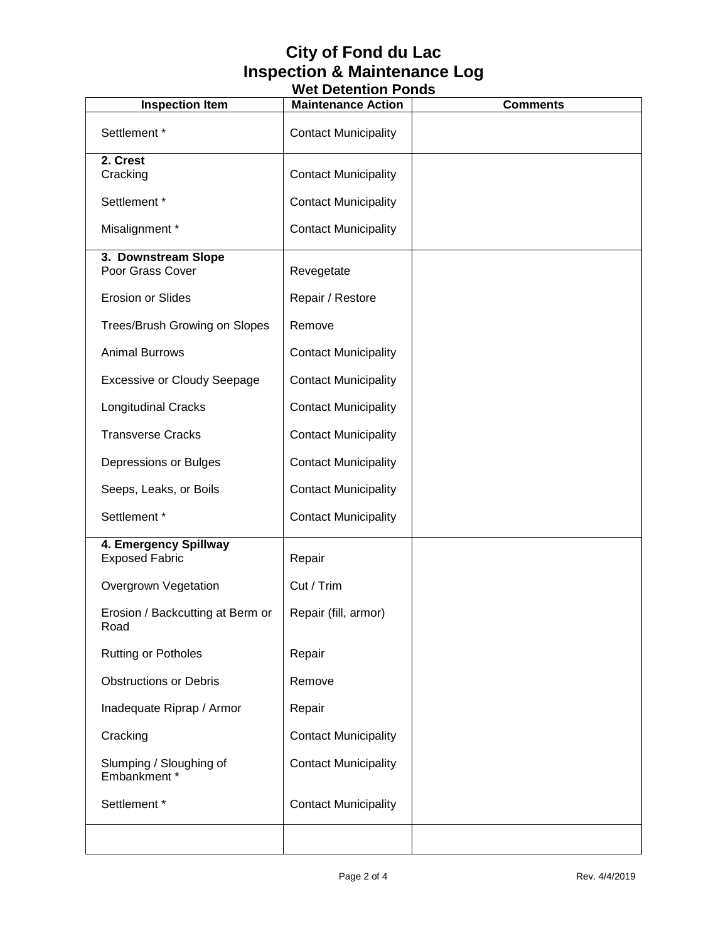## **City of Fond du Lac Inspection & Maintenance Log**

| <b>Wet Detention Ponds</b>               |                             |                 |  |  |
|------------------------------------------|-----------------------------|-----------------|--|--|
| <b>Inspection Item</b>                   | <b>Maintenance Action</b>   | <b>Comments</b> |  |  |
| Settlement *                             | <b>Contact Municipality</b> |                 |  |  |
| 2. Crest                                 |                             |                 |  |  |
| Cracking                                 | <b>Contact Municipality</b> |                 |  |  |
| Settlement *                             | <b>Contact Municipality</b> |                 |  |  |
| Misalignment *                           | <b>Contact Municipality</b> |                 |  |  |
| 3. Downstream Slope                      |                             |                 |  |  |
| Poor Grass Cover                         | Revegetate                  |                 |  |  |
| <b>Erosion or Slides</b>                 | Repair / Restore            |                 |  |  |
| Trees/Brush Growing on Slopes            | Remove                      |                 |  |  |
| <b>Animal Burrows</b>                    | <b>Contact Municipality</b> |                 |  |  |
| <b>Excessive or Cloudy Seepage</b>       | <b>Contact Municipality</b> |                 |  |  |
| <b>Longitudinal Cracks</b>               | <b>Contact Municipality</b> |                 |  |  |
| <b>Transverse Cracks</b>                 | <b>Contact Municipality</b> |                 |  |  |
| Depressions or Bulges                    | <b>Contact Municipality</b> |                 |  |  |
| Seeps, Leaks, or Boils                   | <b>Contact Municipality</b> |                 |  |  |
| Settlement *                             | <b>Contact Municipality</b> |                 |  |  |
| 4. Emergency Spillway                    |                             |                 |  |  |
| <b>Exposed Fabric</b>                    | Repair                      |                 |  |  |
| Overgrown Vegetation                     | Cut / Trim                  |                 |  |  |
| Erosion / Backcutting at Berm or<br>Road | Repair (fill, armor)        |                 |  |  |
| <b>Rutting or Potholes</b>               | Repair                      |                 |  |  |
| <b>Obstructions or Debris</b>            | Remove                      |                 |  |  |
| Inadequate Riprap / Armor                | Repair                      |                 |  |  |
| Cracking                                 | <b>Contact Municipality</b> |                 |  |  |
| Slumping / Sloughing of<br>Embankment*   | <b>Contact Municipality</b> |                 |  |  |
| Settlement *                             | <b>Contact Municipality</b> |                 |  |  |
|                                          |                             |                 |  |  |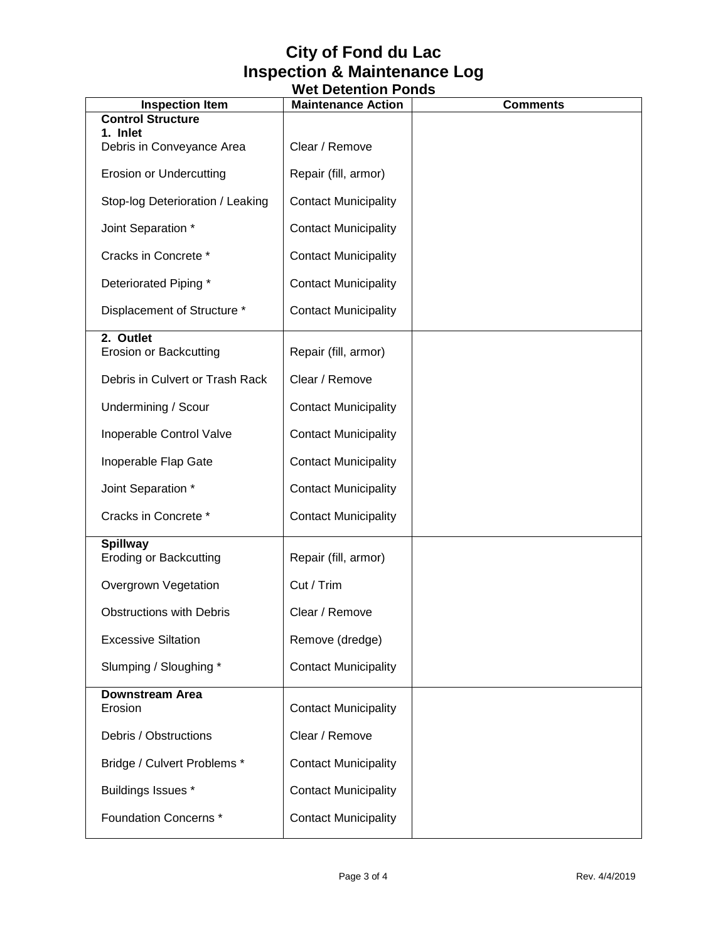## **City of Fond du Lac Inspection & Maintenance Log**

| <b>Wet Detention Ponds</b>                       |                             |                 |  |
|--------------------------------------------------|-----------------------------|-----------------|--|
| <b>Inspection Item</b>                           | <b>Maintenance Action</b>   | <b>Comments</b> |  |
| <b>Control Structure</b><br>1. Inlet             |                             |                 |  |
| Debris in Conveyance Area                        | Clear / Remove              |                 |  |
| <b>Erosion or Undercutting</b>                   | Repair (fill, armor)        |                 |  |
| Stop-log Deterioration / Leaking                 | <b>Contact Municipality</b> |                 |  |
| Joint Separation *                               | <b>Contact Municipality</b> |                 |  |
| Cracks in Concrete *                             | <b>Contact Municipality</b> |                 |  |
| Deteriorated Piping *                            | <b>Contact Municipality</b> |                 |  |
| Displacement of Structure *                      | <b>Contact Municipality</b> |                 |  |
| 2. Outlet<br><b>Erosion or Backcutting</b>       | Repair (fill, armor)        |                 |  |
| Debris in Culvert or Trash Rack                  | Clear / Remove              |                 |  |
| Undermining / Scour                              | <b>Contact Municipality</b> |                 |  |
| Inoperable Control Valve                         | <b>Contact Municipality</b> |                 |  |
| Inoperable Flap Gate                             | <b>Contact Municipality</b> |                 |  |
| Joint Separation *                               | <b>Contact Municipality</b> |                 |  |
| Cracks in Concrete *                             | <b>Contact Municipality</b> |                 |  |
| <b>Spillway</b><br><b>Eroding or Backcutting</b> | Repair (fill, armor)        |                 |  |
| Overgrown Vegetation                             | Cut / Trim                  |                 |  |
| <b>Obstructions with Debris</b>                  | Clear / Remove              |                 |  |
| <b>Excessive Siltation</b>                       | Remove (dredge)             |                 |  |
| Slumping / Sloughing *                           | <b>Contact Municipality</b> |                 |  |
| <b>Downstream Area</b><br>Erosion                | <b>Contact Municipality</b> |                 |  |
| Debris / Obstructions                            | Clear / Remove              |                 |  |
| Bridge / Culvert Problems *                      | <b>Contact Municipality</b> |                 |  |
| Buildings Issues *                               | <b>Contact Municipality</b> |                 |  |
| <b>Foundation Concerns*</b>                      | <b>Contact Municipality</b> |                 |  |